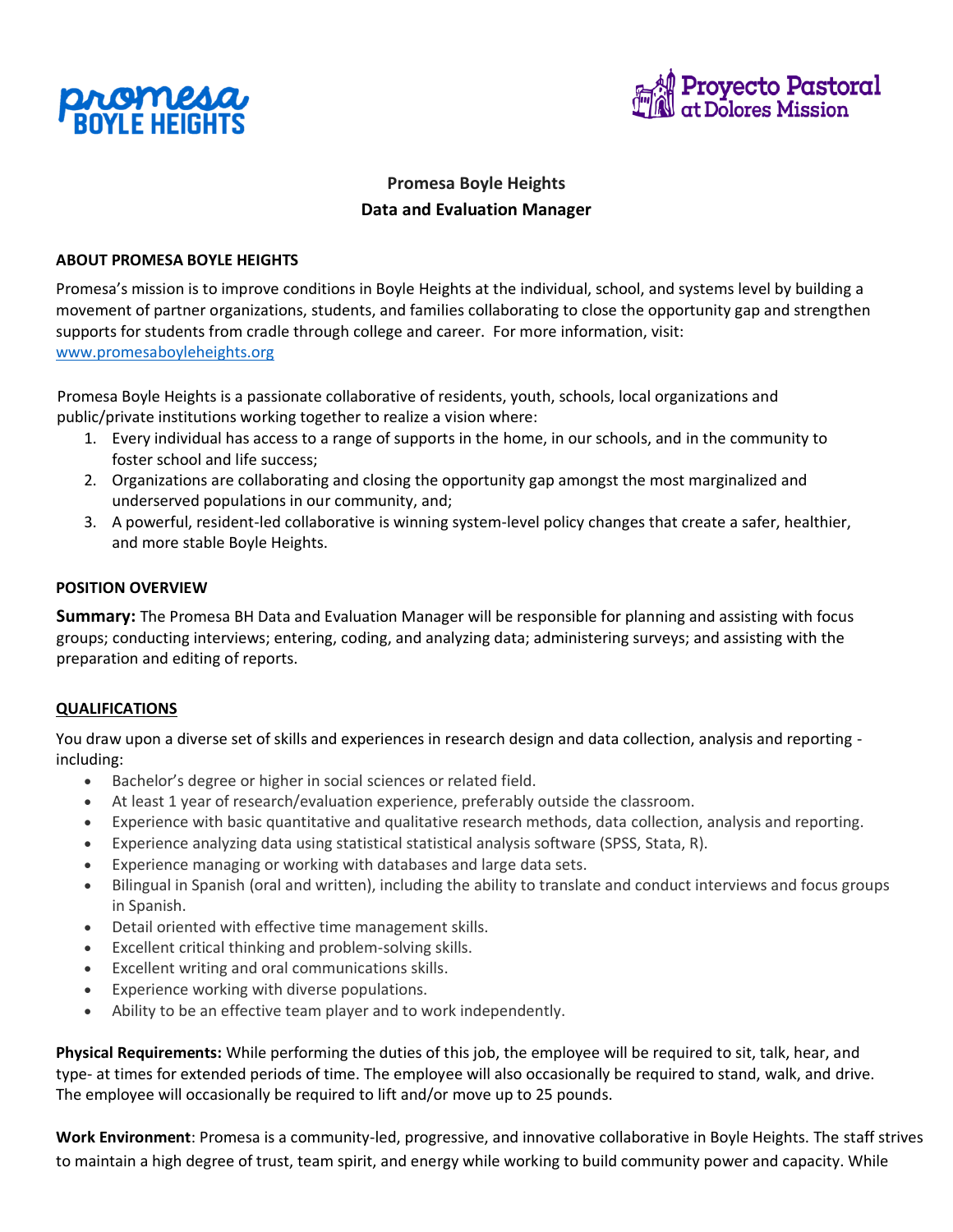



# **Promesa Boyle Heights Data and Evaluation Manager**

## **ABOUT PROMESA BOYLE HEIGHTS**

Promesa's mission is to improve conditions in Boyle Heights at the individual, school, and systems level by building a movement of partner organizations, students, and families collaborating to close the opportunity gap and strengthen supports for students from cradle through college and career. For more information, visit[:](http://www.promesaboyleheights.org/) [www.promesaboyleheights.org](http://www.promesaboyleheights.org/)

Promesa Boyle Heights is a passionate collaborative of residents, youth, schools, local organizations and public/private institutions working together to realize a vision where:

- 1. Every individual has access to a range of supports in the home, in our schools, and in the community to foster school and life success;
- 2. Organizations are collaborating and closing the opportunity gap amongst the most marginalized and underserved populations in our community, and;
- 3. A powerful, resident-led collaborative is winning system-level policy changes that create a safer, healthier, and more stable Boyle Heights.

### **POSITION OVERVIEW**

**Summary:** The Promesa BH Data and Evaluation Manager will be responsible for planning and assisting with focus groups; conducting interviews; entering, coding, and analyzing data; administering surveys; and assisting with the preparation and editing of reports.

#### **QUALIFICATIONS**

You draw upon a diverse set of skills and experiences in research design and data collection, analysis and reporting including:

- Bachelor's degree or higher in social sciences or related field.
- At least 1 year of research/evaluation experience, preferably outside the classroom.
- Experience with basic quantitative and qualitative research methods, data collection, analysis and reporting.
- Experience analyzing data using statistical statistical analysis software (SPSS, Stata, R).
- Experience managing or working with databases and large data sets.
- Bilingual in Spanish (oral and written), including the ability to translate and conduct interviews and focus groups in Spanish.
- Detail oriented with effective time management skills.
- Excellent critical thinking and problem-solving skills.
- Excellent writing and oral communications skills.
- Experience working with diverse populations.
- Ability to be an effective team player and to work independently.

**Physical Requirements:** While performing the duties of this job, the employee will be required to sit, talk, hear, and type- at times for extended periods of time. The employee will also occasionally be required to stand, walk, and drive. The employee will occasionally be required to lift and/or move up to 25 pounds.

**Work Environment**: Promesa is a community-led, progressive, and innovative collaborative in Boyle Heights. The staff strives to maintain a high degree of trust, team spirit, and energy while working to build community power and capacity. While